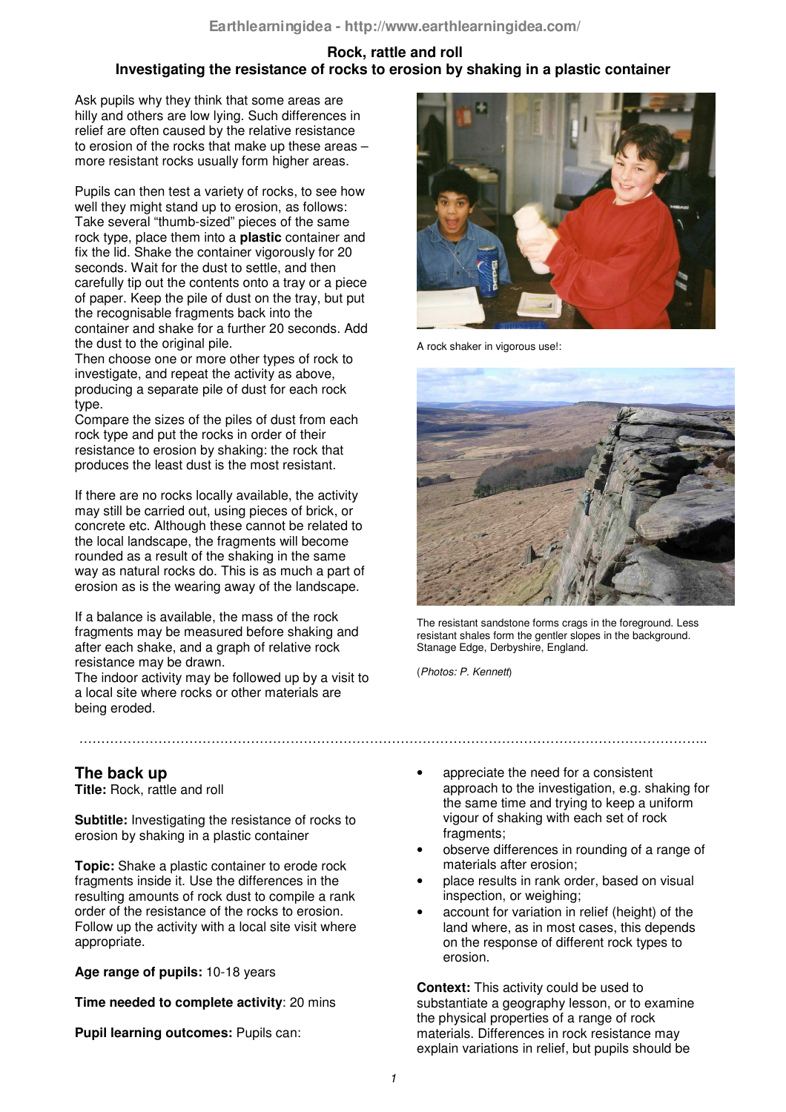# **Rock, rattle and roll Investigating the resistance of rocks to erosion by shaking in a plastic container**

Ask pupils why they think that some areas are hilly and others are low lying. Such differences in relief are often caused by the relative resistance to erosion of the rocks that make up these areas – more resistant rocks usually form higher areas.

Pupils can then test a variety of rocks, to see how well they might stand up to erosion, as follows: Take several "thumb-sized" pieces of the same rock type, place them into a **plastic** container and fix the lid. Shake the container vigorously for 20 seconds. Wait for the dust to settle, and then carefully tip out the contents onto a tray or a piece of paper. Keep the pile of dust on the tray, but put the recognisable fragments back into the container and shake for a further 20 seconds. Add the dust to the original pile.

Then choose one or more other types of rock to investigate, and repeat the activity as above, producing a separate pile of dust for each rock type.

Compare the sizes of the piles of dust from each rock type and put the rocks in order of their resistance to erosion by shaking: the rock that produces the least dust is the most resistant.

If there are no rocks locally available, the activity may still be carried out, using pieces of brick, or concrete etc. Although these cannot be related to the local landscape, the fragments will become rounded as a result of the shaking in the same way as natural rocks do. This is as much a part of erosion as is the wearing away of the landscape.

If a balance is available, the mass of the rock fragments may be measured before shaking and after each shake, and a graph of relative rock resistance may be drawn.

The indoor activity may be followed up by a visit to a local site where rocks or other materials are being eroded.

# **The back up**

**Title:** Rock, rattle and roll

**Subtitle:** Investigating the resistance of rocks to erosion by shaking in a plastic container

**Topic:** Shake a plastic container to erode rock fragments inside it. Use the differences in the resulting amounts of rock dust to compile a rank order of the resistance of the rocks to erosion. Follow up the activity with a local site visit where appropriate.

**Age range of pupils:** 10-18 years

**Time needed to complete activity**: 20 mins

**Pupil learning outcomes:** Pupils can:



A rock shaker in vigorous use!:



The resistant sandstone forms crags in the foreground. Less resistant shales form the gentler slopes in the background. Stanage Edge, Derbyshire, England.

(*Photos: P. Kennett*)

- appreciate the need for a consistent approach to the investigation, e.g. shaking for the same time and trying to keep a uniform vigour of shaking with each set of rock fragments;
- observe differences in rounding of a range of materials after erosion;
- place results in rank order, based on visual inspection, or weighing;
- account for variation in relief (height) of the land where, as in most cases, this depends on the response of different rock types to erosion.

**Context:** This activity could be used to substantiate a geography lesson, or to examine the physical properties of a range of rock materials. Differences in rock resistance may explain variations in relief, but pupils should be

……………………………………………………………………………………………………………………………..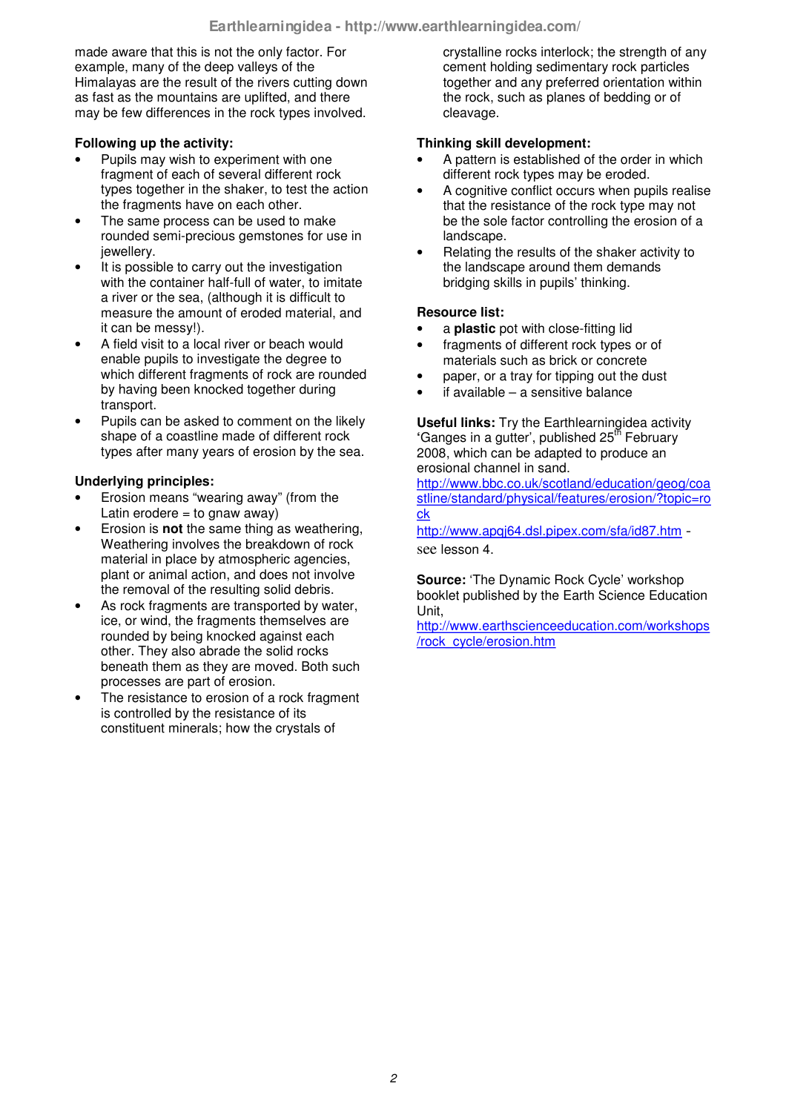made aware that this is not the only factor. For example, many of the deep valleys of the Himalayas are the result of the rivers cutting down as fast as the mountains are uplifted, and there may be few differences in the rock types involved.

### **Following up the activity:**

- Pupils may wish to experiment with one fragment of each of several different rock types together in the shaker, to test the action the fragments have on each other.
- The same process can be used to make rounded semi-precious gemstones for use in jewellery.
- It is possible to carry out the investigation with the container half-full of water, to imitate a river or the sea, (although it is difficult to measure the amount of eroded material, and it can be messy!).
- A field visit to a local river or beach would enable pupils to investigate the degree to which different fragments of rock are rounded by having been knocked together during transport.
- Pupils can be asked to comment on the likely shape of a coastline made of different rock types after many years of erosion by the sea.

# **Underlying principles:**

- Erosion means "wearing away" (from the Latin erodere  $=$  to gnaw away)
- Erosion is **not** the same thing as weathering, Weathering involves the breakdown of rock material in place by atmospheric agencies, plant or animal action, and does not involve the removal of the resulting solid debris.
- As rock fragments are transported by water, ice, or wind, the fragments themselves are rounded by being knocked against each other. They also abrade the solid rocks beneath them as they are moved. Both such processes are part of erosion.
- The resistance to erosion of a rock fragment is controlled by the resistance of its constituent minerals; how the crystals of

crystalline rocks interlock; the strength of any cement holding sedimentary rock particles together and any preferred orientation within the rock, such as planes of bedding or of cleavage.

#### **Thinking skill development:**

- A pattern is established of the order in which different rock types may be eroded.
- A cognitive conflict occurs when pupils realise that the resistance of the rock type may not be the sole factor controlling the erosion of a landscape.
- Relating the results of the shaker activity to the landscape around them demands bridging skills in pupils' thinking.

### **Resource list:**

- a **plastic** pot with close-fitting lid
- fragments of different rock types or of materials such as brick or concrete
- paper, or a tray for tipping out the dust
- $i$ f available a sensitive balance

**Useful links:** Try the Earthlearningidea activity 'Ganges in a gutter', published 25<sup>th</sup> February 2008, which can be adapted to produce an erosional channel in sand.

http://www.bbc.co.uk/scotland/education/geog/coa stline/standard/physical/features/erosion/?topic=ro ck

http://www.apqi64.dsl.pipex.com/sfa/id87.htm see lesson 4.

**Source:** 'The Dynamic Rock Cycle' workshop booklet published by the Earth Science Education Unit,

http://www.earthscienceeducation.com/workshops /rock\_cycle/erosion.htm